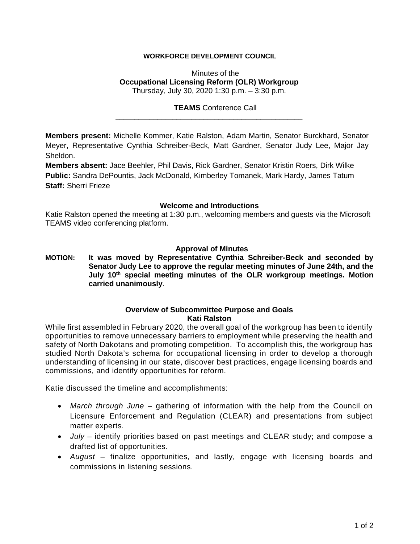# **WORKFORCE DEVELOPMENT COUNCIL**

Minutes of the **Occupational Licensing Reform (OLR) Workgroup** Thursday, July 30, 2020 1:30 p.m. – 3:30 p.m.

### **TEAMS** Conference Call

**Members present:** Michelle Kommer, Katie Ralston, Adam Martin, Senator Burckhard, Senator Meyer, Representative Cynthia Schreiber-Beck, Matt Gardner, Senator Judy Lee, Major Jay Sheldon.

\_\_\_\_\_\_\_\_\_\_\_\_\_\_\_\_\_\_\_\_\_\_\_\_\_\_\_\_\_\_\_\_\_\_\_\_\_\_\_\_\_\_\_\_\_\_\_\_\_

**Members absent:** Jace Beehler, Phil Davis, Rick Gardner, Senator Kristin Roers, Dirk Wilke **Public:** Sandra DePountis, Jack McDonald, Kimberley Tomanek, Mark Hardy, James Tatum **Staff:** Sherri Frieze

#### **Welcome and Introductions**

Katie Ralston opened the meeting at 1:30 p.m., welcoming members and guests via the Microsoft TEAMS video conferencing platform.

### **Approval of Minutes**

**MOTION: It was moved by Representative Cynthia Schreiber-Beck and seconded by Senator Judy Lee to approve the regular meeting minutes of June 24th, and the July 10th special meeting minutes of the OLR workgroup meetings. Motion carried unanimously**.

### **Overview of Subcommittee Purpose and Goals Kati Ralston**

While first assembled in February 2020, the overall goal of the workgroup has been to identify opportunities to remove unnecessary barriers to employment while preserving the health and safety of North Dakotans and promoting competition. To accomplish this, the workgroup has studied North Dakota's schema for occupational licensing in order to develop a thorough understanding of licensing in our state, discover best practices, engage licensing boards and commissions, and identify opportunities for reform.

Katie discussed the timeline and accomplishments:

- *March through June* gathering of information with the help from the Council on Licensure Enforcement and Regulation (CLEAR) and presentations from subject matter experts.
- *July* identify priorities based on past meetings and CLEAR study; and compose a drafted list of opportunities.
- *August* finalize opportunities, and lastly, engage with licensing boards and commissions in listening sessions.